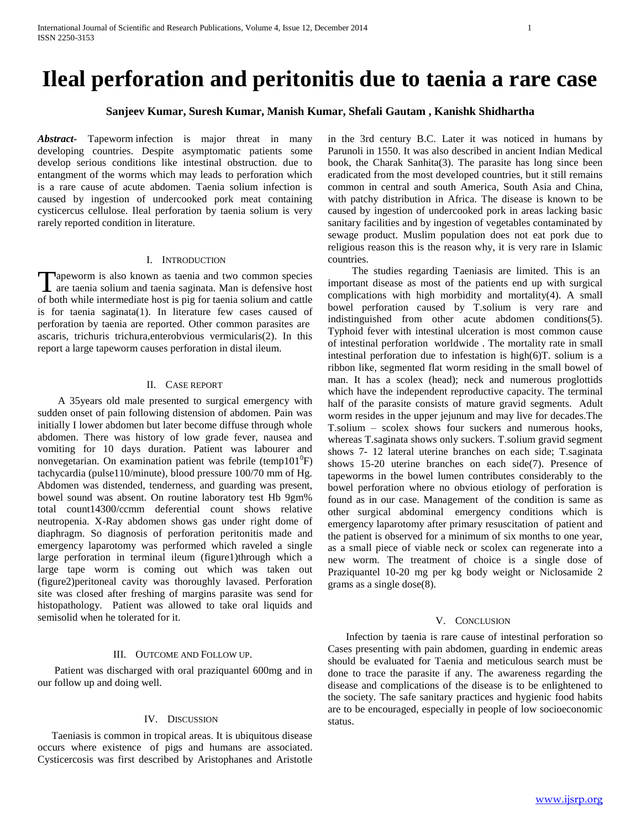# **Ileal perforation and peritonitis due to taenia a rare case**

# **Sanjeev Kumar, Suresh Kumar, Manish Kumar, Shefali Gautam , Kanishk Shidhartha**

*Abstract***-** Tapeworm infection is major threat in many developing countries. Despite asymptomatic patients some develop serious conditions like intestinal obstruction. due to entangment of the worms which may leads to perforation which is a rare cause of acute abdomen. Taenia solium infection is caused by ingestion of undercooked pork meat containing cysticercus cellulose. Ileal perforation by taenia solium is very rarely reported condition in literature.

#### I. INTRODUCTION

Apeworm is also known as taenia and two common species Tapeworm is also known as taenia and two common species are taenia solium and taenia saginata. Man is defensive host of both while intermediate host is pig for taenia solium and cattle is for taenia saginata(1). In literature few cases caused of perforation by taenia are reported. Other common parasites are ascaris, trichuris trichura,enterobvious vermicularis(2). In this report a large tapeworm causes perforation in distal ileum.

### II. CASE REPORT

 A 35years old male presented to surgical emergency with sudden onset of pain following distension of abdomen. Pain was initially I lower abdomen but later become diffuse through whole abdomen. There was history of low grade fever, nausea and vomiting for 10 days duration. Patient was labourer and nonvegetarian. On examination patient was febrile (temp101 $^0$ F) tachycardia (pulse110/minute), blood pressure 100/70 mm of Hg. Abdomen was distended, tenderness, and guarding was present, bowel sound was absent. On routine laboratory test Hb 9gm% total count14300/ccmm deferential count shows relative neutropenia. X-Ray abdomen shows gas under right dome of diaphragm. So diagnosis of perforation peritonitis made and emergency laparotomy was performed which raveled a single large perforation in terminal ileum (figure1)through which a large tape worm is coming out which was taken out (figure2)peritoneal cavity was thoroughly lavased. Perforation site was closed after freshing of margins parasite was send for histopathology. Patient was allowed to take oral liquids and semisolid when he tolerated for it.

#### III. OUTCOME AND FOLLOW UP.

 Patient was discharged with oral praziquantel 600mg and in our follow up and doing well.

## IV. DISCUSSION

 Taeniasis is common in tropical areas. It is ubiquitous disease occurs where existence of pigs and humans are associated. Cysticercosis was first described by Aristophanes and Aristotle

in the 3rd century B.C. Later it was noticed in humans by Parunoli in 1550. It was also described in ancient Indian Medical book, the Charak Sanhita(3). The parasite has long since been eradicated from the most developed countries, but it still remains common in central and south America, South Asia and China, with patchy distribution in Africa. The disease is known to be caused by ingestion of undercooked pork in areas lacking basic sanitary facilities and by ingestion of vegetables contaminated by sewage product. Muslim population does not eat pork due to religious reason this is the reason why, it is very rare in Islamic countries.

 The studies regarding Taeniasis are limited. This is an important disease as most of the patients end up with surgical complications with high morbidity and mortality(4). A small bowel perforation caused by T.solium is very rare and indistinguished from other acute abdomen conditions(5). Typhoid fever with intestinal ulceration is most common cause of intestinal perforation worldwide . The mortality rate in small intestinal perforation due to infestation is high(6)T. solium is a ribbon like, segmented flat worm residing in the small bowel of man. It has a scolex (head); neck and numerous proglottids which have the independent reproductive capacity. The terminal half of the parasite consists of mature gravid segments. Adult worm resides in the upper jejunum and may live for decades.The T.solium – scolex shows four suckers and numerous hooks, whereas T.saginata shows only suckers. T.solium gravid segment shows 7- 12 lateral uterine branches on each side; T.saginata shows 15-20 uterine branches on each side(7). Presence of tapeworms in the bowel lumen contributes considerably to the bowel perforation where no obvious etiology of perforation is found as in our case. Management of the condition is same as other surgical abdominal emergency conditions which is emergency laparotomy after primary resuscitation of patient and the patient is observed for a minimum of six months to one year, as a small piece of viable neck or scolex can regenerate into a new worm. The treatment of choice is a single dose of Praziquantel 10-20 mg per kg body weight or Niclosamide 2 grams as a single dose(8).

#### V. CONCLUSION

 Infection by taenia is rare cause of intestinal perforation so Cases presenting with pain abdomen, guarding in endemic areas should be evaluated for Taenia and meticulous search must be done to trace the parasite if any. The awareness regarding the disease and complications of the disease is to be enlightened to the society. The safe sanitary practices and hygienic food habits are to be encouraged, especially in people of low socioeconomic status.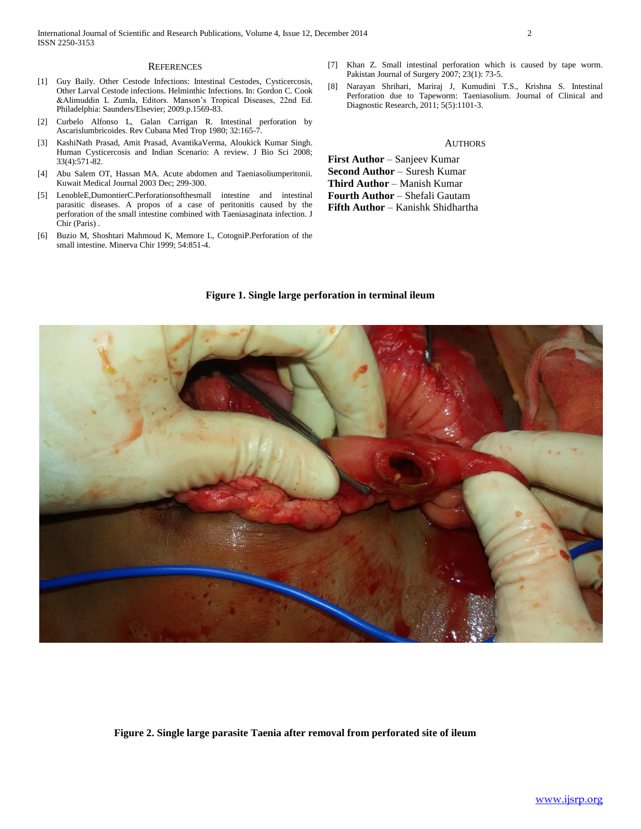#### **REFERENCES**

- [1] Guy Baily. Other Cestode Infections: Intestinal Cestodes, Cysticercosis, Other Larval Cestode infections. Helminthic Infections. In: Gordon C. Cook &Alimuddin L Zumla, Editors. Manson's Tropical Diseases, 22nd Ed. Philadelphia: Saunders/Elsevier; 2009.p.1569-83.
- [2] Curbelo Alfonso L, Galan Carrigan R. Intestinal perforation by Ascarislumbricoides. Rev Cubana Med Trop 1980; 32:165-7.
- [3] KashiNath Prasad, Amit Prasad, AvantikaVerma, Aloukick Kumar Singh. Human Cysticercosis and Indian Scenario: A review. J Bio Sci 2008; 33(4):571-82.
- [4] Abu Salem OT, Hassan MA. Acute abdomen and Taeniasoliumperitonii. Kuwait Medical Journal 2003 Dec; 299-300.
- [5] LenobleE,DumontierC.Perforationsofthesmall intestine and intestinal parasitic diseases. A propos of a case of peritonitis caused by the perforation of the small intestine combined with Taeniasaginata infection. J Chir (Paris) .
- [6] Buzio M, Shoshtari Mahmoud K, Memore L, CotogniP.Perforation of the small intestine. Minerva Chir 1999; 54:851-4.
- [7] Khan Z. Small intestinal perforation which is caused by tape worm. Pakistan Journal of Surgery 2007; 23(1): 73-5.
- [8] Narayan Shrihari, Mariraj J, Kumudini T.S., Krishna S. Intestinal Perforation due to Tapeworm: Taeniasolium. Journal of Clinical and Diagnostic Research, 2011; 5(5):1101-3.

#### **AUTHORS**

**First Author** – Sanjeev Kumar **Second Author** – Suresh Kumar **Third Author – Manish Kumar Fourth Author** – Shefali Gautam Fifth Author - Kanishk Shidhartha



#### **Figure 1. Single large perforation in terminal ileum**

 **Figure 2. Single large parasite Taenia after removal from perforated site of ileum**